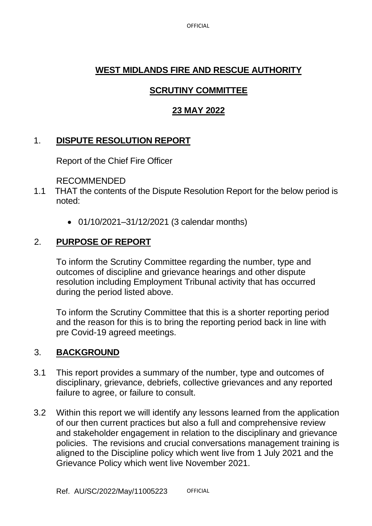OFFICIAL

# **WEST MIDLANDS FIRE AND RESCUE AUTHORITY**

# **SCRUTINY COMMITTEE**

# **23 MAY 2022**

## 1. **DISPUTE RESOLUTION REPORT**

Report of the Chief Fire Officer

RECOMMENDED

- 1.1 THAT the contents of the Dispute Resolution Report for the below period is noted:
	- 01/10/2021–31/12/2021 (3 calendar months)

# 2. **PURPOSE OF REPORT**

To inform the Scrutiny Committee regarding the number, type and outcomes of discipline and grievance hearings and other dispute resolution including Employment Tribunal activity that has occurred during the period listed above.

To inform the Scrutiny Committee that this is a shorter reporting period and the reason for this is to bring the reporting period back in line with pre Covid-19 agreed meetings.

## 3. **BACKGROUND**

- 3.1 This report provides a summary of the number, type and outcomes of disciplinary, grievance, debriefs, collective grievances and any reported failure to agree, or failure to consult.
- 3.2 Within this report we will identify any lessons learned from the application of our then current practices but also a full and comprehensive review and stakeholder engagement in relation to the disciplinary and grievance policies. The revisions and crucial conversations management training is aligned to the Discipline policy which went live from 1 July 2021 and the Grievance Policy which went live November 2021.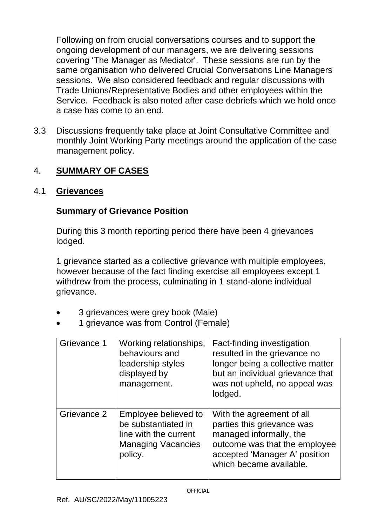Following on from crucial conversations courses and to support the ongoing development of our managers, we are delivering sessions covering 'The Manager as Mediator'. These sessions are run by the same organisation who delivered Crucial Conversations Line Managers sessions. We also considered feedback and regular discussions with Trade Unions/Representative Bodies and other employees within the Service. Feedback is also noted after case debriefs which we hold once a case has come to an end.

3.3 Discussions frequently take place at Joint Consultative Committee and monthly Joint Working Party meetings around the application of the case management policy.

## 4. **SUMMARY OF CASES**

#### 4.1 **Grievances**

#### **Summary of Grievance Position**

During this 3 month reporting period there have been 4 grievances lodged.

1 grievance started as a collective grievance with multiple employees, however because of the fact finding exercise all employees except 1 withdrew from the process, culminating in 1 stand-alone individual grievance.

- 3 grievances were grey book (Male)
- 1 grievance was from Control (Female)

| Grievance 1 | Working relationships,<br>behaviours and<br>leadership styles<br>displayed by<br>management.                 | Fact-finding investigation<br>resulted in the grievance no<br>longer being a collective matter<br>but an individual grievance that<br>was not upheld, no appeal was<br>lodged.  |
|-------------|--------------------------------------------------------------------------------------------------------------|---------------------------------------------------------------------------------------------------------------------------------------------------------------------------------|
| Grievance 2 | Employee believed to<br>be substantiated in<br>line with the current<br><b>Managing Vacancies</b><br>policy. | With the agreement of all<br>parties this grievance was<br>managed informally, the<br>outcome was that the employee<br>accepted 'Manager A' position<br>which became available. |

OFFICIAL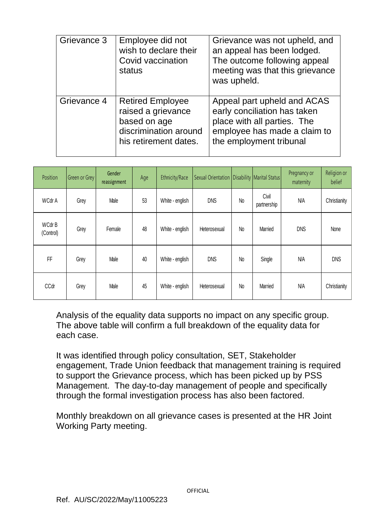| Grievance 3 | Employee did not<br>wish to declare their<br>Covid vaccination<br>status                                        | Grievance was not upheld, and<br>an appeal has been lodged.<br>The outcome following appeal<br>meeting was that this grievance<br>was upheld.         |
|-------------|-----------------------------------------------------------------------------------------------------------------|-------------------------------------------------------------------------------------------------------------------------------------------------------|
| Grievance 4 | <b>Retired Employee</b><br>raised a grievance<br>based on age<br>discrimination around<br>his retirement dates. | Appeal part upheld and ACAS<br>early conciliation has taken<br>place with all parties. The<br>employee has made a claim to<br>the employment tribunal |

| Position                  | Green or Grey | Gender<br>reassignment | Age | Ethnicity/Race  | Sexual Orientation   Disability   Marital Status |           |                      | Pregnancy or<br>maternity | Religion or<br>belief |
|---------------------------|---------------|------------------------|-----|-----------------|--------------------------------------------------|-----------|----------------------|---------------------------|-----------------------|
| WCdr A                    | Grey          | Male                   | 53  | White - english | <b>DNS</b>                                       | <b>No</b> | Civil<br>partnership | N/A                       | Christianity          |
| <b>WCdrB</b><br>(Control) | Grey          | Female                 | 48  | White - english | Heterosexual                                     | <b>No</b> | Married              | <b>DNS</b>                | None                  |
| FF                        | Grey          | Male                   | 40  | White - english | <b>DNS</b>                                       | <b>No</b> | Single               | N/A                       | <b>DNS</b>            |
| CCdr                      | Grey          | Male                   | 45  | White - english | Heterosexual                                     | <b>No</b> | Married              | N/A                       | Christianity          |

Analysis of the equality data supports no impact on any specific group. The above table will confirm a full breakdown of the equality data for each case.

It was identified through policy consultation, SET, Stakeholder engagement, Trade Union feedback that management training is required to support the Grievance process, which has been picked up by PSS Management. The day-to-day management of people and specifically through the formal investigation process has also been factored.

Monthly breakdown on all grievance cases is presented at the HR Joint Working Party meeting.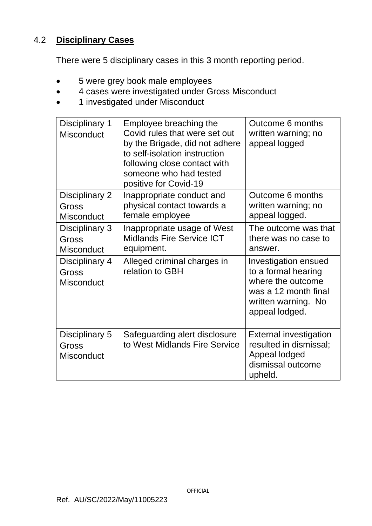### 4.2 **Disciplinary Cases**

There were 5 disciplinary cases in this 3 month reporting period.

- 5 were grey book male employees
- 4 cases were investigated under Gross Misconduct
- 1 investigated under Misconduct

| Disciplinary 1<br><b>Misconduct</b>          | Employee breaching the<br>Covid rules that were set out<br>by the Brigade, did not adhere<br>to self-isolation instruction<br>following close contact with<br>someone who had tested<br>positive for Covid-19 | Outcome 6 months<br>written warning; no<br>appeal logged                                                                          |
|----------------------------------------------|---------------------------------------------------------------------------------------------------------------------------------------------------------------------------------------------------------------|-----------------------------------------------------------------------------------------------------------------------------------|
| Disciplinary 2<br>Gross<br><b>Misconduct</b> | Inappropriate conduct and<br>physical contact towards a<br>female employee                                                                                                                                    | Outcome 6 months<br>written warning; no<br>appeal logged.                                                                         |
| Disciplinary 3<br>Gross<br><b>Misconduct</b> | Inappropriate usage of West<br><b>Midlands Fire Service ICT</b><br>equipment.                                                                                                                                 | The outcome was that<br>there was no case to<br>answer.                                                                           |
| Disciplinary 4<br>Gross<br><b>Misconduct</b> | Alleged criminal charges in<br>relation to GBH                                                                                                                                                                | Investigation ensued<br>to a formal hearing<br>where the outcome<br>was a 12 month final<br>written warning. No<br>appeal lodged. |
| Disciplinary 5<br>Gross<br><b>Misconduct</b> | Safeguarding alert disclosure<br>to West Midlands Fire Service                                                                                                                                                | <b>External investigation</b><br>resulted in dismissal;<br>Appeal lodged<br>dismissal outcome<br>upheld.                          |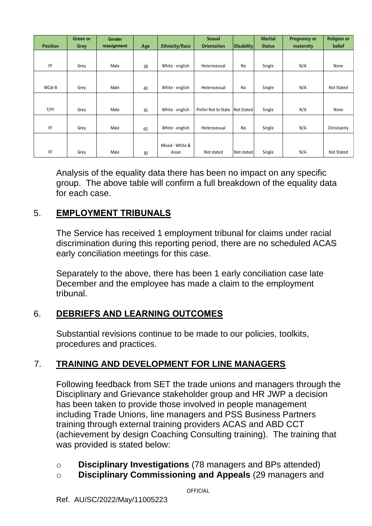|                 | <b>Green or</b> | Gender       |     |                       | <b>Sexual</b>       |                   | <b>Marital</b> | <b>Pregnancy or</b> | <b>Religion or</b> |
|-----------------|-----------------|--------------|-----|-----------------------|---------------------|-------------------|----------------|---------------------|--------------------|
| <b>Position</b> | Grey            | reassignment | Age | <b>Ethnicity/Race</b> | <b>Orientation</b>  | <b>Disability</b> | <b>Status</b>  | maternity           | <b>belief</b>      |
|                 |                 |              |     |                       |                     |                   |                |                     |                    |
| FF              | Grey            | Male         | 28  | White - english       | Heterosexual        | No                | Single         | N/A                 | None               |
|                 |                 |              |     |                       |                     |                   |                |                     |                    |
| WCdr B          | Grey            | Male         | 43  | White - english       | Heterosexual        | No                | Single         | N/A                 | Not Stated         |
|                 |                 |              |     |                       |                     |                   |                |                     |                    |
| T/FF            | Grey            | Male         | 35  | White - english       | Prefer Not to State | Not Stated        | Single         | N/A                 | None               |
|                 |                 |              |     |                       |                     |                   |                |                     |                    |
| FF              | Grey            | Male         | 65  | White - english       | Heterosexual        | No                | Single         | N/A                 | Christianity       |
|                 |                 |              |     |                       |                     |                   |                |                     |                    |
|                 |                 |              |     | Mixed - White &       |                     |                   |                |                     |                    |
| FF              | Grey            | Male         | 30  | Asian                 | Not stated          | Not stated        | Single         | N/A                 | Not Stated         |

Analysis of the equality data there has been no impact on any specific group. The above table will confirm a full breakdown of the equality data for each case.

## 5. **EMPLOYMENT TRIBUNALS**

The Service has received 1 employment tribunal for claims under racial discrimination during this reporting period, there are no scheduled ACAS early conciliation meetings for this case.

Separately to the above, there has been 1 early conciliation case late December and the employee has made a claim to the employment tribunal.

## 6. **DEBRIEFS AND LEARNING OUTCOMES**

Substantial revisions continue to be made to our policies, toolkits, procedures and practices.

# 7. **TRAINING AND DEVELOPMENT FOR LINE MANAGERS**

Following feedback from SET the trade unions and managers through the Disciplinary and Grievance stakeholder group and HR JWP a decision has been taken to provide those involved in people management including Trade Unions, line managers and PSS Business Partners training through external training providers ACAS and ABD CCT (achievement by design Coaching Consulting training). The training that was provided is stated below:

- o **Disciplinary Investigations** (78 managers and BPs attended)
- o **Disciplinary Commissioning and Appeals** (29 managers and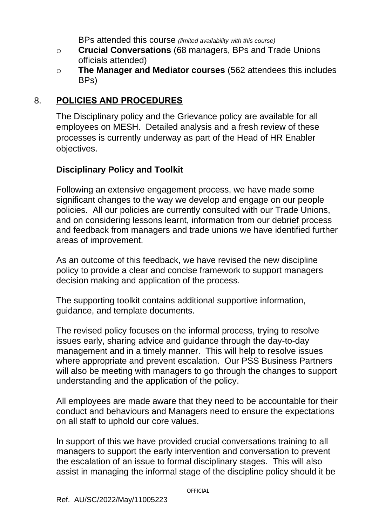BPs attended this course *(limited availability with this course)*

- o **Crucial Conversations** (68 managers, BPs and Trade Unions officials attended)
- o **The Manager and Mediator courses** (562 attendees this includes BPs)

## 8. **POLICIES AND PROCEDURES**

The Disciplinary policy and the Grievance policy are available for all employees on MESH. Detailed analysis and a fresh review of these processes is currently underway as part of the Head of HR Enabler objectives.

### **Disciplinary Policy and Toolkit**

Following an extensive engagement process, we have made some significant changes to the way we develop and engage on our people policies. All our policies are currently consulted with our Trade Unions, and on considering lessons learnt, information from our debrief process and feedback from managers and trade unions we have identified further areas of improvement.

As an outcome of this feedback, we have revised the new discipline policy to provide a clear and concise framework to support managers decision making and application of the process.

The supporting toolkit contains additional supportive information, guidance, and template documents.

The revised policy focuses on the informal process, trying to resolve issues early, sharing advice and guidance through the day-to-day management and in a timely manner. This will help to resolve issues where appropriate and prevent escalation. Our PSS Business Partners will also be meeting with managers to go through the changes to support understanding and the application of the policy.

All employees are made aware that they need to be accountable for their conduct and behaviours and Managers need to ensure the expectations on all staff to uphold our core values.

In support of this we have provided crucial conversations training to all managers to support the early intervention and conversation to prevent the escalation of an issue to formal disciplinary stages. This will also assist in managing the informal stage of the discipline policy should it be